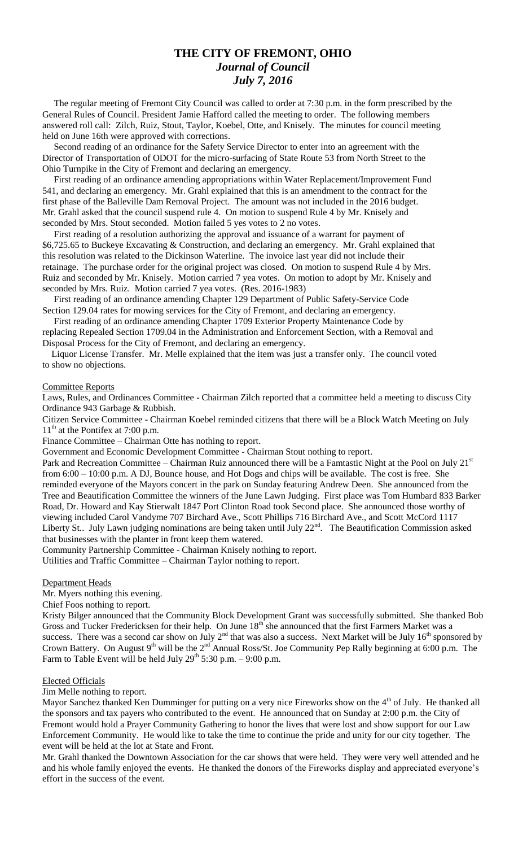## **THE CITY OF FREMONT, OHIO** *Journal of Council July 7, 2016*

 The regular meeting of Fremont City Council was called to order at 7:30 p.m. in the form prescribed by the General Rules of Council. President Jamie Hafford called the meeting to order. The following members answered roll call: Zilch, Ruiz, Stout, Taylor, Koebel, Otte, and Knisely. The minutes for council meeting held on June 16th were approved with corrections.

 Second reading of an ordinance for the Safety Service Director to enter into an agreement with the Director of Transportation of ODOT for the micro-surfacing of State Route 53 from North Street to the Ohio Turnpike in the City of Fremont and declaring an emergency.

 First reading of an ordinance amending appropriations within Water Replacement/Improvement Fund 541, and declaring an emergency. Mr. Grahl explained that this is an amendment to the contract for the first phase of the Balleville Dam Removal Project. The amount was not included in the 2016 budget. Mr. Grahl asked that the council suspend rule 4. On motion to suspend Rule 4 by Mr. Knisely and seconded by Mrs. Stout seconded. Motion failed 5 yes votes to 2 no votes.

 First reading of a resolution authorizing the approval and issuance of a warrant for payment of \$6,725.65 to Buckeye Excavating & Construction, and declaring an emergency. Mr. Grahl explained that this resolution was related to the Dickinson Waterline. The invoice last year did not include their retainage. The purchase order for the original project was closed. On motion to suspend Rule 4 by Mrs. Ruiz and seconded by Mr. Knisely. Motion carried 7 yea votes. On motion to adopt by Mr. Knisely and seconded by Mrs. Ruiz. Motion carried 7 yea votes. (Res. 2016-1983)

 First reading of an ordinance amending Chapter 129 Department of Public Safety-Service Code Section 129.04 rates for mowing services for the City of Fremont, and declaring an emergency.

 First reading of an ordinance amending Chapter 1709 Exterior Property Maintenance Code by replacing Repealed Section 1709.04 in the Administration and Enforcement Section, with a Removal and Disposal Process for the City of Fremont, and declaring an emergency.

 Liquor License Transfer. Mr. Melle explained that the item was just a transfer only. The council voted to show no objections.

#### Committee Reports

Laws, Rules, and Ordinances Committee - Chairman Zilch reported that a committee held a meeting to discuss City Ordinance 943 Garbage & Rubbish.

Citizen Service Committee - Chairman Koebel reminded citizens that there will be a Block Watch Meeting on July  $11<sup>th</sup>$  at the Pontifex at 7:00 p.m.

Finance Committee – Chairman Otte has nothing to report.

Government and Economic Development Committee - Chairman Stout nothing to report.

Park and Recreation Committee – Chairman Ruiz announced there will be a Famtastic Night at the Pool on July  $21^{st}$ from 6:00 – 10:00 p.m. A DJ, Bounce house, and Hot Dogs and chips will be available. The cost is free. She reminded everyone of the Mayors concert in the park on Sunday featuring Andrew Deen. She announced from the Tree and Beautification Committee the winners of the June Lawn Judging. First place was Tom Humbard 833 Barker Road, Dr. Howard and Kay Stierwalt 1847 Port Clinton Road took Second place. She announced those worthy of viewing included Carol Vandyme 707 Birchard Ave., Scott Phillips 716 Birchard Ave., and Scott McCord 1117 Liberty St.. July Lawn judging nominations are being taken until July  $22<sup>nd</sup>$ . The Beautification Commission asked that businesses with the planter in front keep them watered.

Community Partnership Committee - Chairman Knisely nothing to report.

Utilities and Traffic Committee – Chairman Taylor nothing to report.

#### Department Heads

Mr. Myers nothing this evening.

Chief Foos nothing to report.

Kristy Bilger announced that the Community Block Development Grant was successfully submitted. She thanked Bob Gross and Tucker Fredericksen for their help. On June 18<sup>th</sup> she announced that the first Farmers Market was a success. There was a second car show on July  $2^{nd}$  that was also a success. Next Market will be July 16<sup>th</sup> sponsored by Crown Battery. On August 9<sup>th</sup> will be the 2<sup>nd</sup> Annual Ross/St. Joe Community Pep Rally beginning at 6:00 p.m. The Farm to Table Event will be held July  $29<sup>th</sup> 5:30$  p.m.  $- 9:00$  p.m.

#### Elected Officials

Jim Melle nothing to report.

Mayor Sanchez thanked Ken Dumminger for putting on a very nice Fireworks show on the 4<sup>th</sup> of July. He thanked all the sponsors and tax payers who contributed to the event. He announced that on Sunday at 2:00 p.m. the City of Fremont would hold a Prayer Community Gathering to honor the lives that were lost and show support for our Law Enforcement Community. He would like to take the time to continue the pride and unity for our city together. The event will be held at the lot at State and Front.

Mr. Grahl thanked the Downtown Association for the car shows that were held. They were very well attended and he and his whole family enjoyed the events. He thanked the donors of the Fireworks display and appreciated everyone's effort in the success of the event.